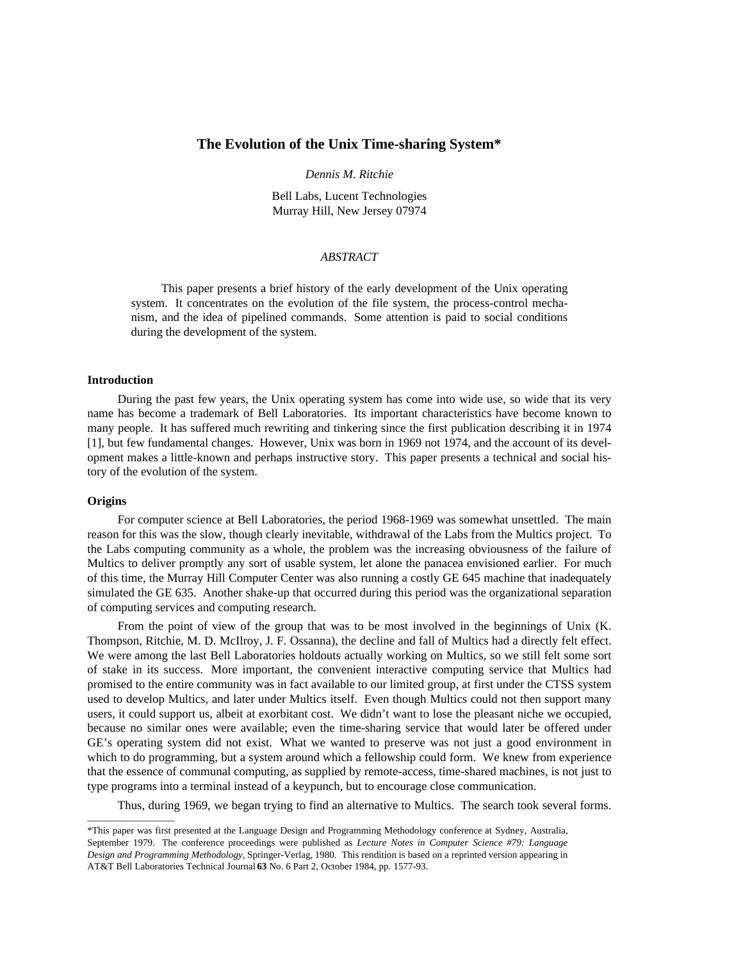# **The Evolution of the Unix Time-sharing System\***

*Dennis M. Ritchie*

Bell Labs, Lucent Technologies Murray Hill, New Jersey 07974

## *ABSTRACT*

This paper presents a brief history of the early development of the Unix operating system. It concentrates on the evolution of the file system, the process-control mechanism, and the idea of pipelined commands. Some attention is paid to social conditions during the development of the system.

## **Introduction**

During the past few years, the Unix operating system has come into wide use, so wide that its very name has become a trademark of Bell Laboratories. Its important characteristics have become known to many people. It has suffered much rewriting and tinkering since the first publication describing it in 1974 [1], but few fundamental changes. However, Unix was born in 1969 not 1974, and the account of its development makes a little-known and perhaps instructive story. This paper presents a technical and social history of the evolution of the system.

# **Origins**

 $\_$ 

For computer science at Bell Laboratories, the period 1968-1969 was somewhat unsettled. The main reason for this was the slow, though clearly inevitable, withdrawal of the Labs from the Multics project. To the Labs computing community as a whole, the problem was the increasing obviousness of the failure of Multics to deliver promptly any sort of usable system, let alone the panacea envisioned earlier. For much of this time, the Murray Hill Computer Center was also running a costly GE 645 machine that inadequately simulated the GE 635. Another shake-up that occurred during this period was the organizational separation of computing services and computing research.

From the point of view of the group that was to be most involved in the beginnings of Unix (K. Thompson, Ritchie, M. D. McIlroy, J. F. Ossanna), the decline and fall of Multics had a directly felt effect. We were among the last Bell Laboratories holdouts actually working on Multics, so we still felt some sort of stake in its success. More important, the convenient interactive computing service that Multics had promised to the entire community was in fact available to our limited group, at first under the CTSS system used to develop Multics, and later under Multics itself. Even though Multics could not then support many users, it could support us, albeit at exorbitant cost. We didn't want to lose the pleasant niche we occupied, because no similar ones were available; even the time-sharing service that would later be offered under GE's operating system did not exist. What we wanted to preserve was not just a good environment in which to do programming, but a system around which a fellowship could form. We knew from experience that the essence of communal computing, as supplied by remote-access, time-shared machines, is not just to type programs into a terminal instead of a keypunch, but to encourage close communication.

Thus, during 1969, we began trying to find an alternative to Multics. The search took several forms.

<sup>\*</sup>This paper was first presented at the Language Design and Programming Methodology conference at Sydney, Australia, September 1979. The conference proceedings were published as *Lecture Notes in Computer Science #79: Language Design and Programming Methodology,* Springer-Verlag, 1980. This rendition is based on a reprinted version appearing in AT&T Bell Laboratories Technical Journal **63** No. 6 Part 2, October 1984, pp. 1577-93.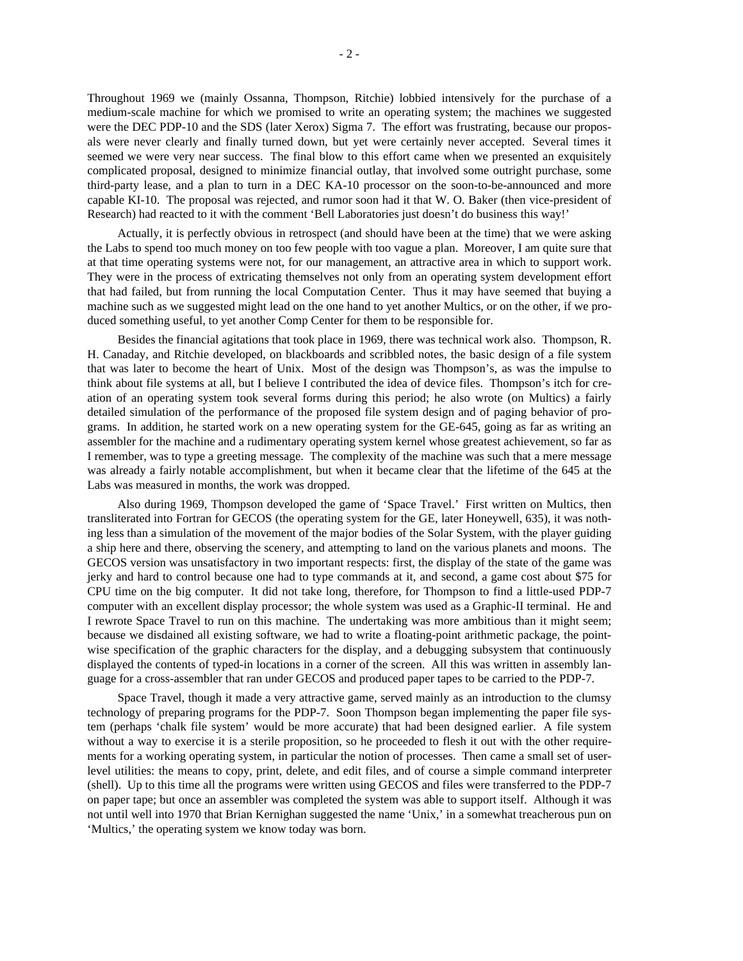Throughout 1969 we (mainly Ossanna, Thompson, Ritchie) lobbied intensively for the purchase of a medium-scale machine for which we promised to write an operating system; the machines we suggested were the DEC PDP-10 and the SDS (later Xerox) Sigma 7. The effort was frustrating, because our proposals were never clearly and finally turned down, but yet were certainly never accepted. Several times it seemed we were very near success. The final blow to this effort came when we presented an exquisitely complicated proposal, designed to minimize financial outlay, that involved some outright purchase, some third-party lease, and a plan to turn in a DEC KA-10 processor on the soon-to-be-announced and more capable KI-10. The proposal was rejected, and rumor soon had it that W. O. Baker (then vice-president of Research) had reacted to it with the comment 'Bell Laboratories just doesn't do business this way!'

Actually, it is perfectly obvious in retrospect (and should have been at the time) that we were asking the Labs to spend too much money on too few people with too vague a plan. Moreover, I am quite sure that at that time operating systems were not, for our management, an attractive area in which to support work. They were in the process of extricating themselves not only from an operating system development effort that had failed, but from running the local Computation Center. Thus it may have seemed that buying a machine such as we suggested might lead on the one hand to yet another Multics, or on the other, if we produced something useful, to yet another Comp Center for them to be responsible for.

Besides the financial agitations that took place in 1969, there was technical work also. Thompson, R. H. Canaday, and Ritchie developed, on blackboards and scribbled notes, the basic design of a file system that was later to become the heart of Unix. Most of the design was Thompson's, as was the impulse to think about file systems at all, but I believe I contributed the idea of device files. Thompson's itch for creation of an operating system took several forms during this period; he also wrote (on Multics) a fairly detailed simulation of the performance of the proposed file system design and of paging behavior of programs. In addition, he started work on a new operating system for the GE-645, going as far as writing an assembler for the machine and a rudimentary operating system kernel whose greatest achievement, so far as I remember, was to type a greeting message. The complexity of the machine was such that a mere message was already a fairly notable accomplishment, but when it became clear that the lifetime of the 645 at the Labs was measured in months, the work was dropped.

Also during 1969, Thompson developed the game of 'Space Travel.' First written on Multics, then transliterated into Fortran for GECOS (the operating system for the GE, later Honeywell, 635), it was nothing less than a simulation of the movement of the major bodies of the Solar System, with the player guiding a ship here and there, observing the scenery, and attempting to land on the various planets and moons. The GECOS version was unsatisfactory in two important respects: first, the display of the state of the game was jerky and hard to control because one had to type commands at it, and second, a game cost about \$75 for CPU time on the big computer. It did not take long, therefore, for Thompson to find a little-used PDP-7 computer with an excellent display processor; the whole system was used as a Graphic-II terminal. He and I rewrote Space Travel to run on this machine. The undertaking was more ambitious than it might seem; because we disdained all existing software, we had to write a floating-point arithmetic package, the pointwise specification of the graphic characters for the display, and a debugging subsystem that continuously displayed the contents of typed-in locations in a corner of the screen. All this was written in assembly language for a cross-assembler that ran under GECOS and produced paper tapes to be carried to the PDP-7.

Space Travel, though it made a very attractive game, served mainly as an introduction to the clumsy technology of preparing programs for the PDP-7. Soon Thompson began implementing the paper file system (perhaps 'chalk file system' would be more accurate) that had been designed earlier. A file system without a way to exercise it is a sterile proposition, so he proceeded to flesh it out with the other requirements for a working operating system, in particular the notion of processes. Then came a small set of userlevel utilities: the means to copy, print, delete, and edit files, and of course a simple command interpreter (shell). Up to this time all the programs were written using GECOS and files were transferred to the PDP-7 on paper tape; but once an assembler was completed the system was able to support itself. Although it was not until well into 1970 that Brian Kernighan suggested the name 'Unix,' in a somewhat treacherous pun on 'Multics,' the operating system we know today was born.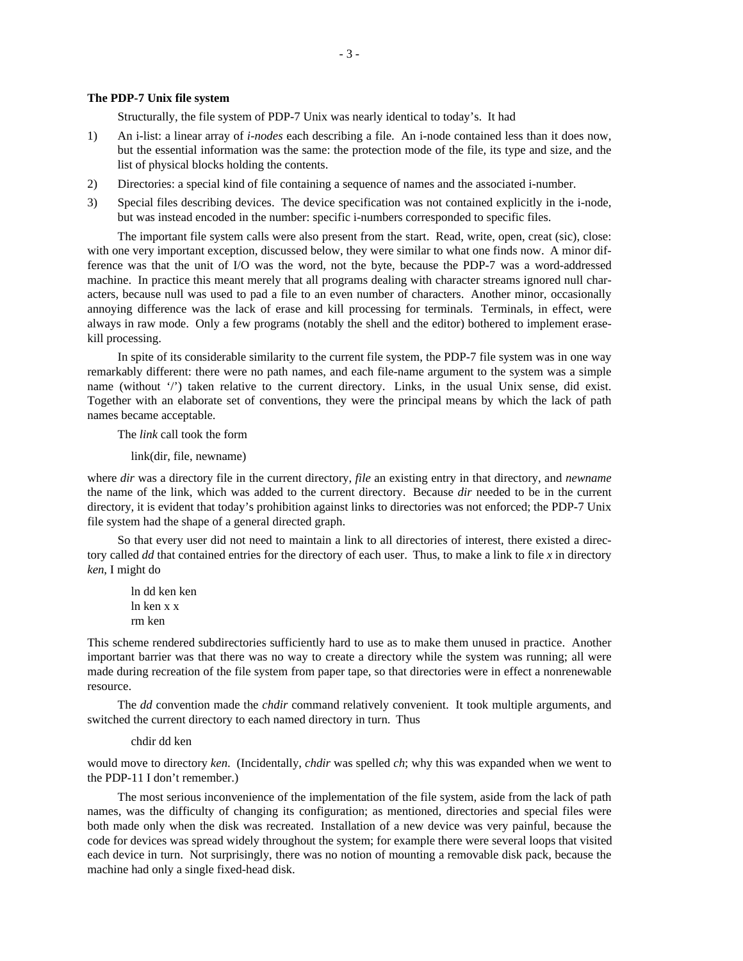# **The PDP-7 Unix file system**

Structurally, the file system of PDP-7 Unix was nearly identical to today's. It had

- 1) An i-list: a linear array of *i-nodes* each describing a file. An i-node contained less than it does now, but the essential information was the same: the protection mode of the file, its type and size, and the list of physical blocks holding the contents.
- 2) Directories: a special kind of file containing a sequence of names and the associated i-number.
- 3) Special files describing devices. The device specification was not contained explicitly in the i-node, but was instead encoded in the number: specific i-numbers corresponded to specific files.

The important file system calls were also present from the start. Read, write, open, creat (sic), close: with one very important exception, discussed below, they were similar to what one finds now. A minor difference was that the unit of I/O was the word, not the byte, because the PDP-7 was a word-addressed machine. In practice this meant merely that all programs dealing with character streams ignored null characters, because null was used to pad a file to an even number of characters. Another minor, occasionally annoying difference was the lack of erase and kill processing for terminals. Terminals, in effect, were always in raw mode. Only a few programs (notably the shell and the editor) bothered to implement erasekill processing.

In spite of its considerable similarity to the current file system, the PDP-7 file system was in one way remarkably different: there were no path names, and each file-name argument to the system was a simple name (without '/') taken relative to the current directory. Links, in the usual Unix sense, did exist. Together with an elaborate set of conventions, they were the principal means by which the lack of path names became acceptable.

The *link* call took the form

link(dir, file, newname)

where *dir* was a directory file in the current directory, *file* an existing entry in that directory, and *newname* the name of the link, which was added to the current directory. Because *dir* needed to be in the current directory, it is evident that today's prohibition against links to directories was not enforced; the PDP-7 Unix file system had the shape of a general directed graph.

So that every user did not need to maintain a link to all directories of interest, there existed a directory called *dd* that contained entries for the directory of each user. Thus, to make a link to file *x* in directory *ken*, I might do

ln dd ken ken ln ken x x rm ken

This scheme rendered subdirectories sufficiently hard to use as to make them unused in practice. Another important barrier was that there was no way to create a directory while the system was running; all were made during recreation of the file system from paper tape, so that directories were in effect a nonrenewable resource.

The *dd* convention made the *chdir* command relatively convenient. It took multiple arguments, and switched the current directory to each named directory in turn. Thus

chdir dd ken

would move to directory *ken*. (Incidentally, *chdir* was spelled *ch*; why this was expanded when we went to the PDP-11 I don't remember.)

The most serious inconvenience of the implementation of the file system, aside from the lack of path names, was the difficulty of changing its configuration; as mentioned, directories and special files were both made only when the disk was recreated. Installation of a new device was very painful, because the code for devices was spread widely throughout the system; for example there were several loops that visited each device in turn. Not surprisingly, there was no notion of mounting a removable disk pack, because the machine had only a single fixed-head disk.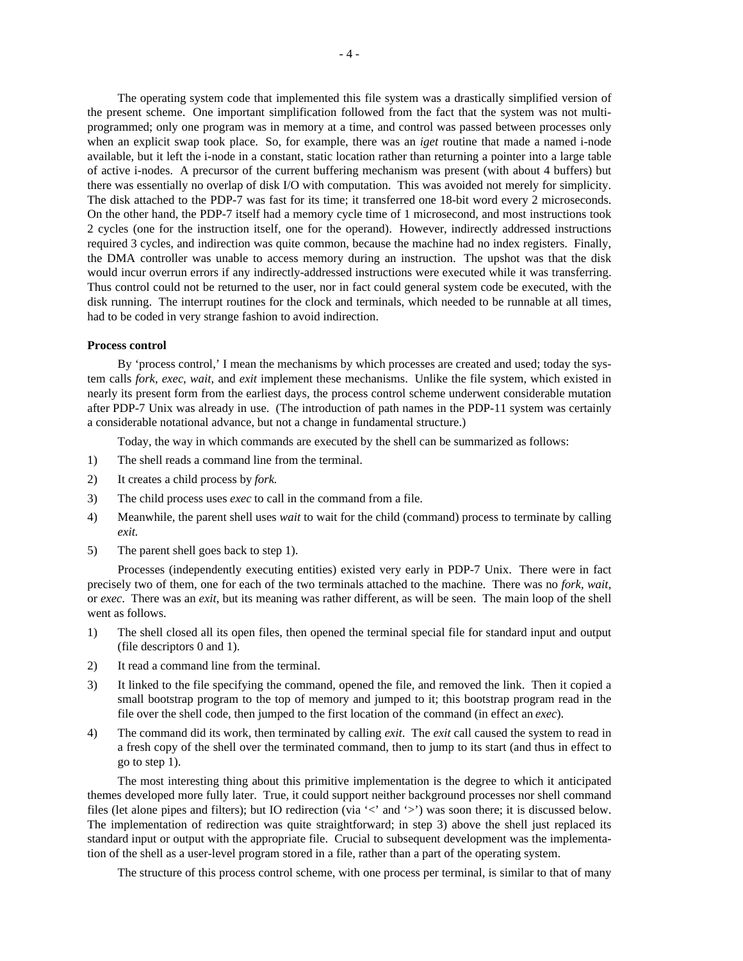The operating system code that implemented this file system was a drastically simplified version of the present scheme. One important simplification followed from the fact that the system was not multiprogrammed; only one program was in memory at a time, and control was passed between processes only when an explicit swap took place. So, for example, there was an *iget* routine that made a named i-node available, but it left the i-node in a constant, static location rather than returning a pointer into a large table of active i-nodes. A precursor of the current buffering mechanism was present (with about 4 buffers) but there was essentially no overlap of disk I/O with computation. This was avoided not merely for simplicity. The disk attached to the PDP-7 was fast for its time; it transferred one 18-bit word every 2 microseconds. On the other hand, the PDP-7 itself had a memory cycle time of 1 microsecond, and most instructions took 2 cycles (one for the instruction itself, one for the operand). However, indirectly addressed instructions required 3 cycles, and indirection was quite common, because the machine had no index registers. Finally, the DMA controller was unable to access memory during an instruction. The upshot was that the disk would incur overrun errors if any indirectly-addressed instructions were executed while it was transferring. Thus control could not be returned to the user, nor in fact could general system code be executed, with the disk running. The interrupt routines for the clock and terminals, which needed to be runnable at all times, had to be coded in very strange fashion to avoid indirection.

#### **Process control**

By 'process control,' I mean the mechanisms by which processes are created and used; today the system calls *fork*, *exec*, *wait*, and *exit* implement these mechanisms. Unlike the file system, which existed in nearly its present form from the earliest days, the process control scheme underwent considerable mutation after PDP-7 Unix was already in use. (The introduction of path names in the PDP-11 system was certainly a considerable notational advance, but not a change in fundamental structure.)

Today, the way in which commands are executed by the shell can be summarized as follows:

- 1) The shell reads a command line from the terminal.
- 2) It creates a child process by *fork.*
- 3) The child process uses *exec* to call in the command from a file.
- 4) Meanwhile, the parent shell uses *wait* to wait for the child (command) process to terminate by calling *exit.*
- 5) The parent shell goes back to step 1).

Processes (independently executing entities) existed very early in PDP-7 Unix. There were in fact precisely two of them, one for each of the two terminals attached to the machine. There was no *fork*, *wait*, or *exec*. There was an *exit*, but its meaning was rather different, as will be seen. The main loop of the shell went as follows.

- 1) The shell closed all its open files, then opened the terminal special file for standard input and output (file descriptors 0 and 1).
- 2) It read a command line from the terminal.
- 3) It linked to the file specifying the command, opened the file, and removed the link. Then it copied a small bootstrap program to the top of memory and jumped to it; this bootstrap program read in the file over the shell code, then jumped to the first location of the command (in effect an *exec*).
- 4) The command did its work, then terminated by calling *exit*. The *exit* call caused the system to read in a fresh copy of the shell over the terminated command, then to jump to its start (and thus in effect to go to step 1).

The most interesting thing about this primitive implementation is the degree to which it anticipated themes developed more fully later. True, it could support neither background processes nor shell command files (let alone pipes and filters); but IO redirection (via '<' and '>') was soon there; it is discussed below. The implementation of redirection was quite straightforward; in step 3) above the shell just replaced its standard input or output with the appropriate file. Crucial to subsequent development was the implementation of the shell as a user-level program stored in a file, rather than a part of the operating system.

The structure of this process control scheme, with one process per terminal, is similar to that of many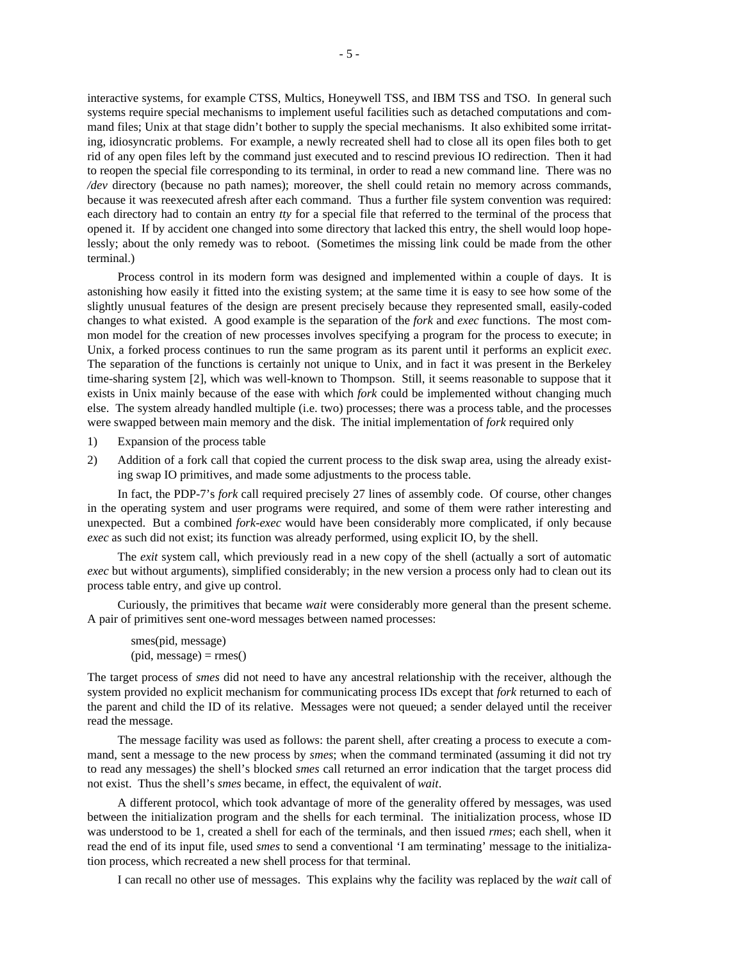interactive systems, for example CTSS, Multics, Honeywell TSS, and IBM TSS and TSO. In general such systems require special mechanisms to implement useful facilities such as detached computations and command files; Unix at that stage didn't bother to supply the special mechanisms. It also exhibited some irritating, idiosyncratic problems. For example, a newly recreated shell had to close all its open files both to get rid of any open files left by the command just executed and to rescind previous IO redirection. Then it had to reopen the special file corresponding to its terminal, in order to read a new command line. There was no */dev* directory (because no path names); moreover, the shell could retain no memory across commands, because it was reexecuted afresh after each command. Thus a further file system convention was required: each directory had to contain an entry *tty* for a special file that referred to the terminal of the process that opened it. If by accident one changed into some directory that lacked this entry, the shell would loop hopelessly; about the only remedy was to reboot. (Sometimes the missing link could be made from the other terminal.)

Process control in its modern form was designed and implemented within a couple of days. It is astonishing how easily it fitted into the existing system; at the same time it is easy to see how some of the slightly unusual features of the design are present precisely because they represented small, easily-coded changes to what existed. A good example is the separation of the *fork* and *exec* functions. The most common model for the creation of new processes involves specifying a program for the process to execute; in Unix, a forked process continues to run the same program as its parent until it performs an explicit *exec*. The separation of the functions is certainly not unique to Unix, and in fact it was present in the Berkeley time-sharing system [2], which was well-known to Thompson. Still, it seems reasonable to suppose that it exists in Unix mainly because of the ease with which *fork* could be implemented without changing much else. The system already handled multiple (i.e. two) processes; there was a process table, and the processes were swapped between main memory and the disk. The initial implementation of *fork* required only

- 1) Expansion of the process table
- 2) Addition of a fork call that copied the current process to the disk swap area, using the already existing swap IO primitives, and made some adjustments to the process table.

In fact, the PDP-7's *fork* call required precisely 27 lines of assembly code. Of course, other changes in the operating system and user programs were required, and some of them were rather interesting and unexpected. But a combined *fork-exec* would have been considerably more complicated, if only because *exec* as such did not exist; its function was already performed, using explicit IO, by the shell.

The *exit* system call, which previously read in a new copy of the shell (actually a sort of automatic *exec* but without arguments), simplified considerably; in the new version a process only had to clean out its process table entry, and give up control.

Curiously, the primitives that became *wait* were considerably more general than the present scheme. A pair of primitives sent one-word messages between named processes:

smes(pid, message)  $(pid, message) = rms()$ 

The target process of *smes* did not need to have any ancestral relationship with the receiver, although the system provided no explicit mechanism for communicating process IDs except that *fork* returned to each of the parent and child the ID of its relative. Messages were not queued; a sender delayed until the receiver read the message.

The message facility was used as follows: the parent shell, after creating a process to execute a command, sent a message to the new process by *smes*; when the command terminated (assuming it did not try to read any messages) the shell's blocked *smes* call returned an error indication that the target process did not exist. Thus the shell's *smes* became, in effect, the equivalent of *wait*.

A different protocol, which took advantage of more of the generality offered by messages, was used between the initialization program and the shells for each terminal. The initialization process, whose ID was understood to be 1, created a shell for each of the terminals, and then issued *rmes*; each shell, when it read the end of its input file, used *smes* to send a conventional 'I am terminating' message to the initialization process, which recreated a new shell process for that terminal.

I can recall no other use of messages. This explains why the facility was replaced by the *wait* call of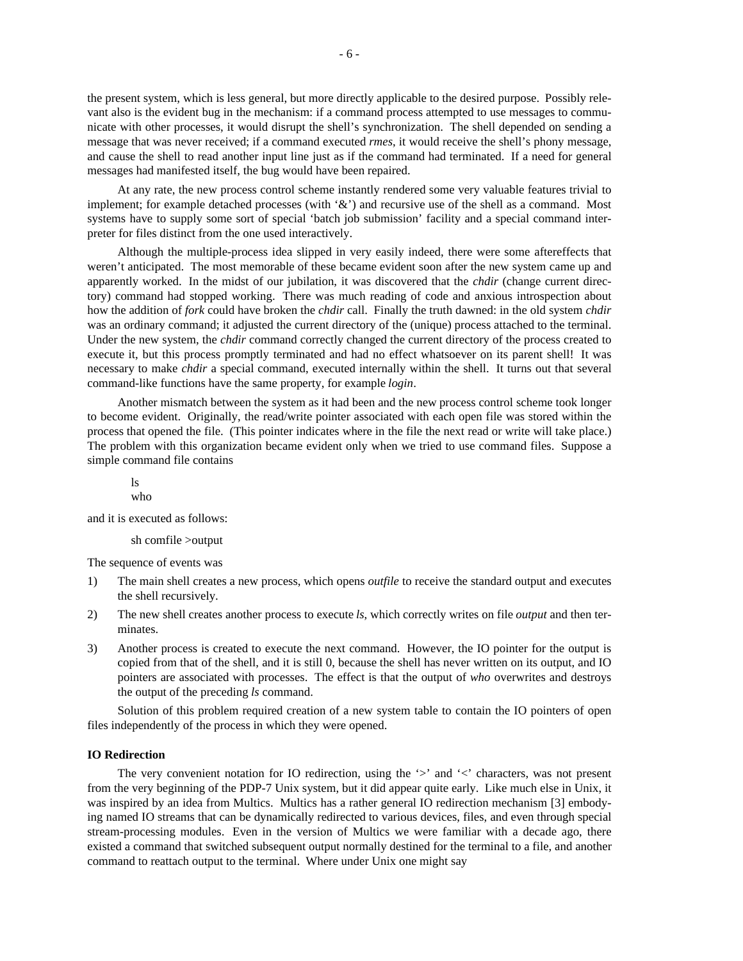the present system, which is less general, but more directly applicable to the desired purpose. Possibly relevant also is the evident bug in the mechanism: if a command process attempted to use messages to communicate with other processes, it would disrupt the shell's synchronization. The shell depended on sending a message that was never received; if a command executed *rmes*, it would receive the shell's phony message, and cause the shell to read another input line just as if the command had terminated. If a need for general messages had manifested itself, the bug would have been repaired.

At any rate, the new process control scheme instantly rendered some very valuable features trivial to implement; for example detached processes (with  $\&$ ) and recursive use of the shell as a command. Most systems have to supply some sort of special 'batch job submission' facility and a special command interpreter for files distinct from the one used interactively.

Although the multiple-process idea slipped in very easily indeed, there were some aftereffects that weren't anticipated. The most memorable of these became evident soon after the new system came up and apparently worked. In the midst of our jubilation, it was discovered that the *chdir* (change current directory) command had stopped working. There was much reading of code and anxious introspection about how the addition of *fork* could have broken the *chdir* call. Finally the truth dawned: in the old system *chdir* was an ordinary command; it adjusted the current directory of the (unique) process attached to the terminal. Under the new system, the *chdir* command correctly changed the current directory of the process created to execute it, but this process promptly terminated and had no effect whatsoever on its parent shell! It was necessary to make *chdir* a special command, executed internally within the shell. It turns out that several command-like functions have the same property, for example *login*.

Another mismatch between the system as it had been and the new process control scheme took longer to become evident. Originally, the read/write pointer associated with each open file was stored within the process that opened the file. (This pointer indicates where in the file the next read or write will take place.) The problem with this organization became evident only when we tried to use command files. Suppose a simple command file contains

 $\log$ who

and it is executed as follows:

sh comfile >output

The sequence of events was

- 1) The main shell creates a new process, which opens *outfile* to receive the standard output and executes the shell recursively.
- 2) The new shell creates another process to execute *ls*, which correctly writes on file *output* and then terminates.
- 3) Another process is created to execute the next command. However, the IO pointer for the output is copied from that of the shell, and it is still 0, because the shell has never written on its output, and IO pointers are associated with processes. The effect is that the output of *who* overwrites and destroys the output of the preceding *ls* command.

Solution of this problem required creation of a new system table to contain the IO pointers of open files independently of the process in which they were opened.

### **IO Redirection**

The very convenient notation for IO redirection, using the  $\leq$ ' and  $\leq$ ' characters, was not present from the very beginning of the PDP-7 Unix system, but it did appear quite early. Like much else in Unix, it was inspired by an idea from Multics. Multics has a rather general IO redirection mechanism [3] embodying named IO streams that can be dynamically redirected to various devices, files, and even through special stream-processing modules. Even in the version of Multics we were familiar with a decade ago, there existed a command that switched subsequent output normally destined for the terminal to a file, and another command to reattach output to the terminal. Where under Unix one might say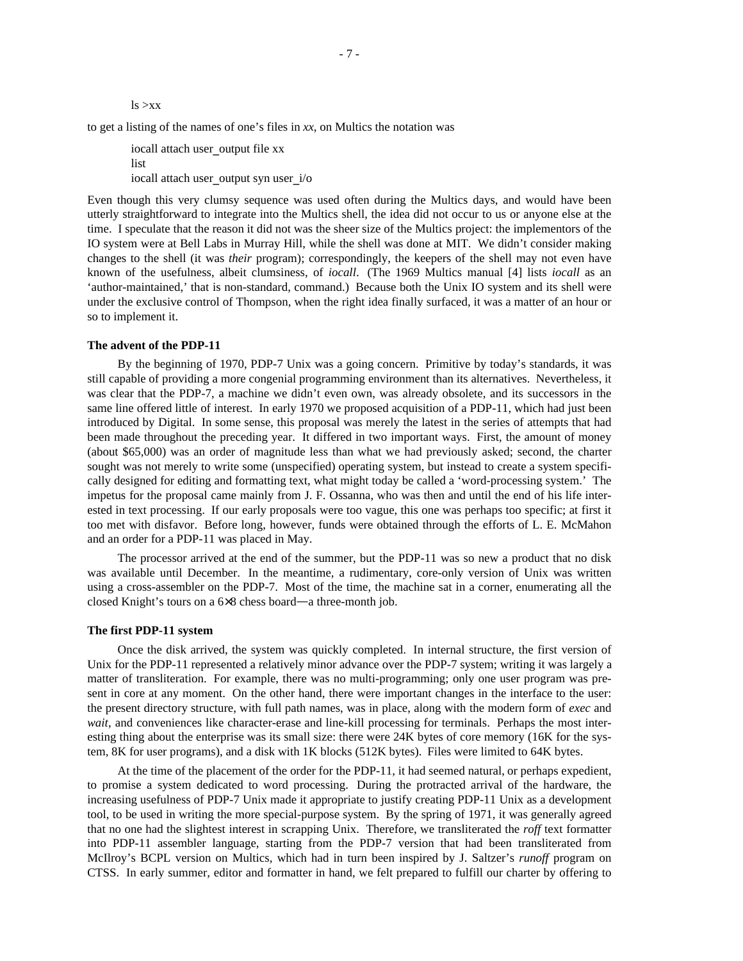$ls > xx$ 

to get a listing of the names of one's files in *xx*, on Multics the notation was

iocall attach user\_output file xx list iocall attach user\_output syn user\_i/o

Even though this very clumsy sequence was used often during the Multics days, and would have been utterly straightforward to integrate into the Multics shell, the idea did not occur to us or anyone else at the time. I speculate that the reason it did not was the sheer size of the Multics project: the implementors of the IO system were at Bell Labs in Murray Hill, while the shell was done at MIT. We didn't consider making changes to the shell (it was *their* program); correspondingly, the keepers of the shell may not even have known of the usefulness, albeit clumsiness, of *iocall*. (The 1969 Multics manual [4] lists *iocall* as an 'author-maintained,' that is non-standard, command.) Because both the Unix IO system and its shell were under the exclusive control of Thompson, when the right idea finally surfaced, it was a matter of an hour or so to implement it.

#### **The advent of the PDP-11**

By the beginning of 1970, PDP-7 Unix was a going concern. Primitive by today's standards, it was still capable of providing a more congenial programming environment than its alternatives. Nevertheless, it was clear that the PDP-7, a machine we didn't even own, was already obsolete, and its successors in the same line offered little of interest. In early 1970 we proposed acquisition of a PDP-11, which had just been introduced by Digital. In some sense, this proposal was merely the latest in the series of attempts that had been made throughout the preceding year. It differed in two important ways. First, the amount of money (about \$65,000) was an order of magnitude less than what we had previously asked; second, the charter sought was not merely to write some (unspecified) operating system, but instead to create a system specifically designed for editing and formatting text, what might today be called a 'word-processing system.' The impetus for the proposal came mainly from J. F. Ossanna, who was then and until the end of his life interested in text processing. If our early proposals were too vague, this one was perhaps too specific; at first it too met with disfavor. Before long, however, funds were obtained through the efforts of L. E. McMahon and an order for a PDP-11 was placed in May.

The processor arrived at the end of the summer, but the PDP-11 was so new a product that no disk was available until December. In the meantime, a rudimentary, core-only version of Unix was written using a cross-assembler on the PDP-7. Most of the time, the machine sat in a corner, enumerating all the closed Knight's tours on a  $6\times 8$  chess board—a three-month job.

#### **The first PDP-11 system**

Once the disk arrived, the system was quickly completed. In internal structure, the first version of Unix for the PDP-11 represented a relatively minor advance over the PDP-7 system; writing it was largely a matter of transliteration. For example, there was no multi-programming; only one user program was present in core at any moment. On the other hand, there were important changes in the interface to the user: the present directory structure, with full path names, was in place, along with the modern form of *exec* and *wait*, and conveniences like character-erase and line-kill processing for terminals. Perhaps the most interesting thing about the enterprise was its small size: there were 24K bytes of core memory (16K for the system, 8K for user programs), and a disk with 1K blocks (512K bytes). Files were limited to 64K bytes.

At the time of the placement of the order for the PDP-11, it had seemed natural, or perhaps expedient, to promise a system dedicated to word processing. During the protracted arrival of the hardware, the increasing usefulness of PDP-7 Unix made it appropriate to justify creating PDP-11 Unix as a development tool, to be used in writing the more special-purpose system. By the spring of 1971, it was generally agreed that no one had the slightest interest in scrapping Unix. Therefore, we transliterated the *roff* text formatter into PDP-11 assembler language, starting from the PDP-7 version that had been transliterated from McIlroy's BCPL version on Multics, which had in turn been inspired by J. Saltzer's *runoff* program on CTSS. In early summer, editor and formatter in hand, we felt prepared to fulfill our charter by offering to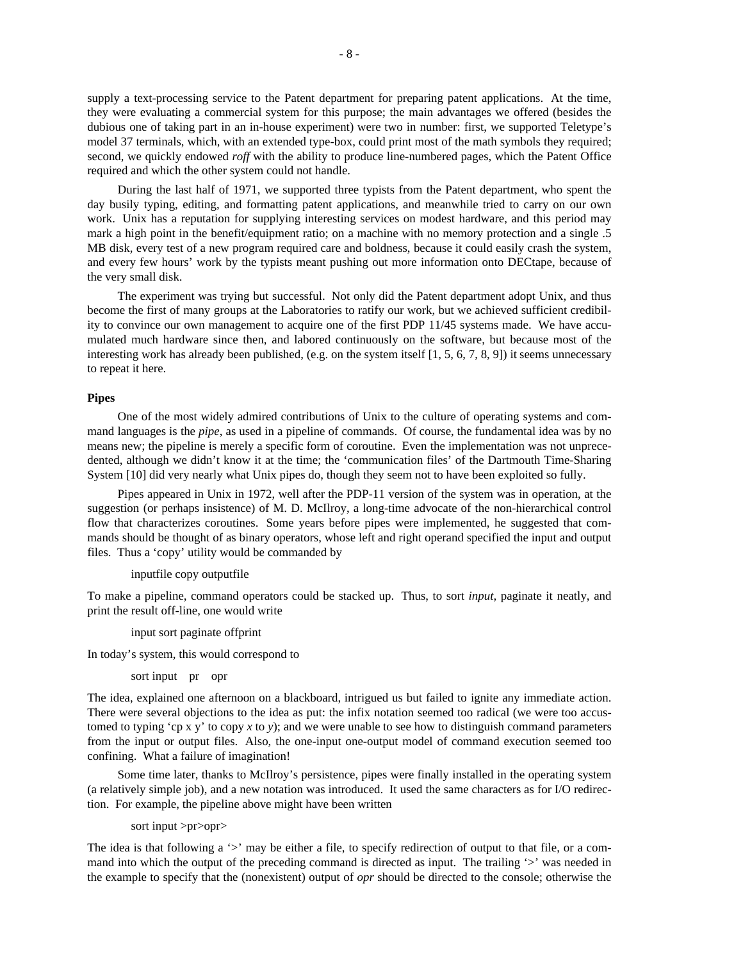supply a text-processing service to the Patent department for preparing patent applications. At the time, they were evaluating a commercial system for this purpose; the main advantages we offered (besides the dubious one of taking part in an in-house experiment) were two in number: first, we supported Teletype's model 37 terminals, which, with an extended type-box, could print most of the math symbols they required; second, we quickly endowed *roff* with the ability to produce line-numbered pages, which the Patent Office required and which the other system could not handle.

During the last half of 1971, we supported three typists from the Patent department, who spent the day busily typing, editing, and formatting patent applications, and meanwhile tried to carry on our own work. Unix has a reputation for supplying interesting services on modest hardware, and this period may mark a high point in the benefit/equipment ratio; on a machine with no memory protection and a single .5 MB disk, every test of a new program required care and boldness, because it could easily crash the system, and every few hours' work by the typists meant pushing out more information onto DECtape, because of the very small disk.

The experiment was trying but successful. Not only did the Patent department adopt Unix, and thus become the first of many groups at the Laboratories to ratify our work, but we achieved sufficient credibility to convince our own management to acquire one of the first PDP 11/45 systems made. We have accumulated much hardware since then, and labored continuously on the software, but because most of the interesting work has already been published, (e.g. on the system itself [1, 5, 6, 7, 8, 9]) it seems unnecessary to repeat it here.

## **Pipes**

One of the most widely admired contributions of Unix to the culture of operating systems and command languages is the *pipe*, as used in a pipeline of commands. Of course, the fundamental idea was by no means new; the pipeline is merely a specific form of coroutine. Even the implementation was not unprecedented, although we didn't know it at the time; the 'communication files' of the Dartmouth Time-Sharing System [10] did very nearly what Unix pipes do, though they seem not to have been exploited so fully.

Pipes appeared in Unix in 1972, well after the PDP-11 version of the system was in operation, at the suggestion (or perhaps insistence) of M. D. McIlroy, a long-time advocate of the non-hierarchical control flow that characterizes coroutines. Some years before pipes were implemented, he suggested that commands should be thought of as binary operators, whose left and right operand specified the input and output files. Thus a 'copy' utility would be commanded by

```
inputfile copy outputfile
```
To make a pipeline, command operators could be stacked up. Thus, to sort *input,* paginate it neatly, and print the result off-line, one would write

input sort paginate offprint

In today's system, this would correspond to

sort input  $|pr|$  opr

The idea, explained one afternoon on a blackboard, intrigued us but failed to ignite any immediate action. There were several objections to the idea as put: the infix notation seemed too radical (we were too accustomed to typing 'cp x y' to copy *x* to *y*); and we were unable to see how to distinguish command parameters from the input or output files. Also, the one-input one-output model of command execution seemed too confining. What a failure of imagination!

Some time later, thanks to McIlroy's persistence, pipes were finally installed in the operating system (a relatively simple job), and a new notation was introduced. It used the same characters as for I/O redirection. For example, the pipeline above might have been written

sort input >pr>opr>

The idea is that following a '>' may be either a file, to specify redirection of output to that file, or a command into which the output of the preceding command is directed as input. The trailing '>' was needed in the example to specify that the (nonexistent) output of *opr* should be directed to the console; otherwise the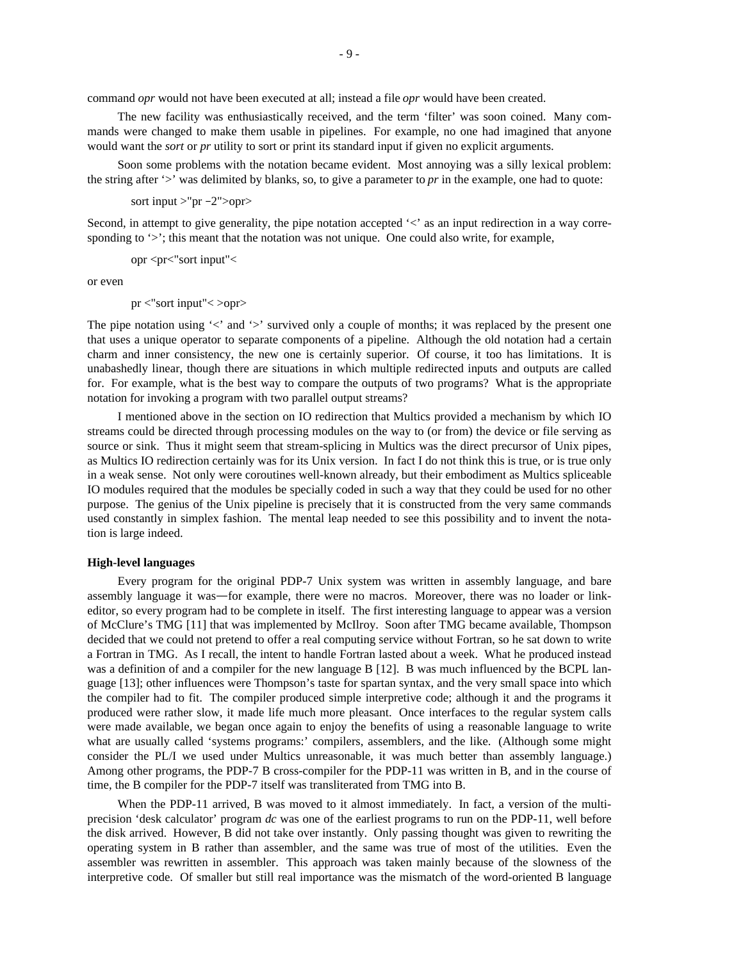command *opr* would not have been executed at all; instead a file *opr* would have been created.

The new facility was enthusiastically received, and the term 'filter' was soon coined. Many commands were changed to make them usable in pipelines. For example, no one had imagined that anyone would want the *sort* or *pr* utility to sort or print its standard input if given no explicit arguments.

Soon some problems with the notation became evident. Most annoying was a silly lexical problem: the string after '>' was delimited by blanks, so, to give a parameter to *pr* in the example, one had to quote:

sort input  $>$ "pr  $-2$ " $>$ opr $>$ 

Second, in attempt to give generality, the pipe notation accepted '<' as an input redirection in a way corresponding to ' $>$ '; this meant that the notation was not unique. One could also write, for example,

opr <pr<"sort input"<

or even

pr <"sort input"< >opr>

The pipe notation using '<' and '>' survived only a couple of months; it was replaced by the present one that uses a unique operator to separate components of a pipeline. Although the old notation had a certain charm and inner consistency, the new one is certainly superior. Of course, it too has limitations. It is unabashedly linear, though there are situations in which multiple redirected inputs and outputs are called for. For example, what is the best way to compare the outputs of two programs? What is the appropriate notation for invoking a program with two parallel output streams?

I mentioned above in the section on IO redirection that Multics provided a mechanism by which IO streams could be directed through processing modules on the way to (or from) the device or file serving as source or sink. Thus it might seem that stream-splicing in Multics was the direct precursor of Unix pipes, as Multics IO redirection certainly was for its Unix version. In fact I do not think this is true, or is true only in a weak sense. Not only were coroutines well-known already, but their embodiment as Multics spliceable IO modules required that the modules be specially coded in such a way that they could be used for no other purpose. The genius of the Unix pipeline is precisely that it is constructed from the very same commands used constantly in simplex fashion. The mental leap needed to see this possibility and to invent the notation is large indeed.

#### **High-level languages**

Every program for the original PDP-7 Unix system was written in assembly language, and bare assembly language it was—for example, there were no macros. Moreover, there was no loader or linkeditor, so every program had to be complete in itself. The first interesting language to appear was a version of McClure's TMG [11] that was implemented by McIlroy. Soon after TMG became available, Thompson decided that we could not pretend to offer a real computing service without Fortran, so he sat down to write a Fortran in TMG. As I recall, the intent to handle Fortran lasted about a week. What he produced instead was a definition of and a compiler for the new language B [12]. B was much influenced by the BCPL language [13]; other influences were Thompson's taste for spartan syntax, and the very small space into which the compiler had to fit. The compiler produced simple interpretive code; although it and the programs it produced were rather slow, it made life much more pleasant. Once interfaces to the regular system calls were made available, we began once again to enjoy the benefits of using a reasonable language to write what are usually called 'systems programs:' compilers, assemblers, and the like. (Although some might consider the PL/I we used under Multics unreasonable, it was much better than assembly language.) Among other programs, the PDP-7 B cross-compiler for the PDP-11 was written in B, and in the course of time, the B compiler for the PDP-7 itself was transliterated from TMG into B.

When the PDP-11 arrived, B was moved to it almost immediately. In fact, a version of the multiprecision 'desk calculator' program *dc* was one of the earliest programs to run on the PDP-11, well before the disk arrived. However, B did not take over instantly. Only passing thought was given to rewriting the operating system in B rather than assembler, and the same was true of most of the utilities. Even the assembler was rewritten in assembler. This approach was taken mainly because of the slowness of the interpretive code. Of smaller but still real importance was the mismatch of the word-oriented B language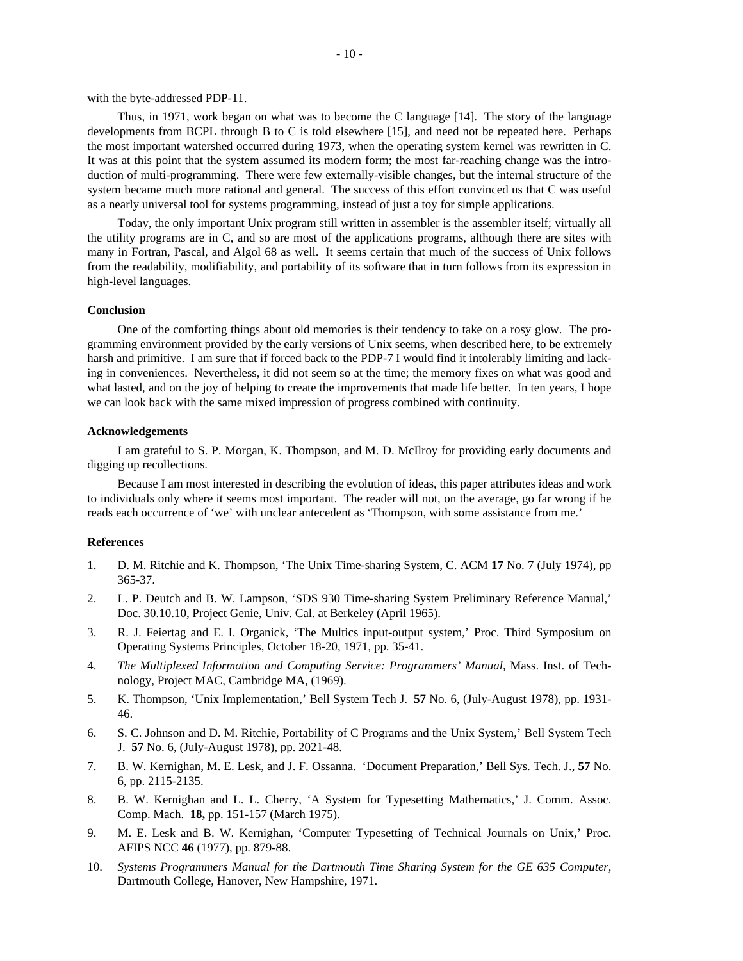Thus, in 1971, work began on what was to become the C language [14]. The story of the language developments from BCPL through B to C is told elsewhere [15], and need not be repeated here. Perhaps the most important watershed occurred during 1973, when the operating system kernel was rewritten in C. It was at this point that the system assumed its modern form; the most far-reaching change was the introduction of multi-programming. There were few externally-visible changes, but the internal structure of the system became much more rational and general. The success of this effort convinced us that C was useful as a nearly universal tool for systems programming, instead of just a toy for simple applications.

Today, the only important Unix program still written in assembler is the assembler itself; virtually all the utility programs are in C, and so are most of the applications programs, although there are sites with many in Fortran, Pascal, and Algol 68 as well. It seems certain that much of the success of Unix follows from the readability, modifiability, and portability of its software that in turn follows from its expression in high-level languages.

### **Conclusion**

One of the comforting things about old memories is their tendency to take on a rosy glow. The programming environment provided by the early versions of Unix seems, when described here, to be extremely harsh and primitive. I am sure that if forced back to the PDP-7 I would find it intolerably limiting and lacking in conveniences. Nevertheless, it did not seem so at the time; the memory fixes on what was good and what lasted, and on the joy of helping to create the improvements that made life better. In ten years, I hope we can look back with the same mixed impression of progress combined with continuity.

## **Acknowledgements**

I am grateful to S. P. Morgan, K. Thompson, and M. D. McIlroy for providing early documents and digging up recollections.

Because I am most interested in describing the evolution of ideas, this paper attributes ideas and work to individuals only where it seems most important. The reader will not, on the average, go far wrong if he reads each occurrence of 'we' with unclear antecedent as 'Thompson, with some assistance from me.'

## **References**

- 1. D. M. Ritchie and K. Thompson, 'The Unix Time-sharing System, C. ACM **17** No. 7 (July 1974), pp 365-37.
- 2. L. P. Deutch and B. W. Lampson, 'SDS 930 Time-sharing System Preliminary Reference Manual,' Doc. 30.10.10, Project Genie, Univ. Cal. at Berkeley (April 1965).
- 3. R. J. Feiertag and E. I. Organick, 'The Multics input-output system,' Proc. Third Symposium on Operating Systems Principles, October 18-20, 1971, pp. 35-41.
- 4. *The Multiplexed Information and Computing Service: Programmers' Manual,* Mass. Inst. of Technology, Project MAC, Cambridge MA, (1969).
- 5. K. Thompson, 'Unix Implementation,' Bell System Tech J. **57** No. 6, (July-August 1978), pp. 1931- 46.
- 6. S. C. Johnson and D. M. Ritchie, Portability of C Programs and the Unix System,' Bell System Tech J. **57** No. 6, (July-August 1978), pp. 2021-48.
- 7. B. W. Kernighan, M. E. Lesk, and J. F. Ossanna. 'Document Preparation,' Bell Sys. Tech. J., **57** No. 6, pp. 2115-2135.
- 8. B. W. Kernighan and L. L. Cherry, 'A System for Typesetting Mathematics,' J. Comm. Assoc. Comp. Mach. **18,** pp. 151-157 (March 1975).
- 9. M. E. Lesk and B. W. Kernighan, 'Computer Typesetting of Technical Journals on Unix,' Proc. AFIPS NCC **46** (1977), pp. 879-88.
- 10. *Systems Programmers Manual for the Dartmouth Time Sharing System for the GE 635 Computer,* Dartmouth College, Hanover, New Hampshire, 1971.